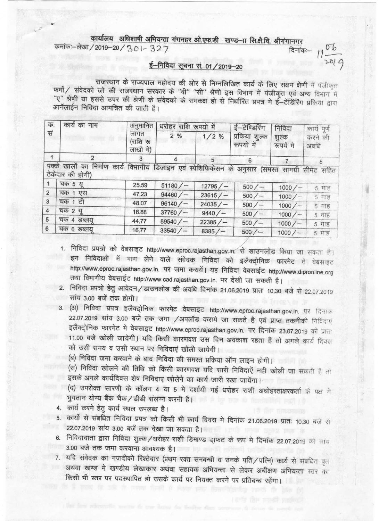## कार्यालय अधिशाषी अभियन्ता गंगनहर ओ.एफ.डी खण्ड-IT सि.क्षै.वि. श्रीगंगानगर

कर्माकः-लेखा / 2019-20 / 301-327

## ई-निविदा सूचना सं. 01 / 2019-20

दिनांक:-

 $2019$ 

राजस्थान के राज्यपाल महोदय की ओर से निम्नलिखित कार्य के लिए सक्षम क्षेणी में पंजीकृत फर्मो / संवेदको जो की राजस्थान सरकार के "बी" "सी" श्रेणी इस विभाग में पंजीकृत एवं अन्य विभाग में "ए" श्रेणी या इससे उपर की श्रेणी के संवेदको के समकक्ष हो से निर्धारित प्रपत्र मे ई-टेडिरिंग प्रकिया द्वारा आनॅलाईन निविदा आमत्रित की जाती है।

| क,<br>सं       | कार्य का नाम                           | अनुमानित<br>लागत<br>(राशि रू<br>लाखो में) | धरोहर राशि रूपयो में                                       |        | ई–टेण्डिरिंग                              | निविदा             | कार्य पूर्ण     |
|----------------|----------------------------------------|-------------------------------------------|------------------------------------------------------------|--------|-------------------------------------------|--------------------|-----------------|
|                |                                        |                                           | 2%                                                         | 1/2%   | प्रकिया शुल्क<br>रूपयो में                | शुल्क<br>रूपयें मे | करने की<br>अवधि |
| 1              | 2                                      | 3                                         | 4                                                          | 5      | 6                                         |                    | 8               |
|                | खालों का<br>ठेकेदार की होगी)<br>चक 5 य | 25.59                                     | निर्माण कार्य विभागीय डिजाइन एवं स्पेशिफिकेसन के<br>51180/ | 12795/ | अनुसार (समस्त सामग्री सीमेंट सहित<br>500/ | 1000/              |                 |
| $\overline{2}$ | चक 1<br>एस                             | 47.23                                     | 94460/                                                     | 23615/ | 500/                                      | 1000/              | 5 माह<br>5 माह  |
| 3              | चक 1 टी                                | 48.07                                     | 96140/                                                     | 24035/ | 500/                                      | 1000/              | 5 刊長            |
| $\overline{4}$ | चक २ यु                                | 18.88                                     | 37760/                                                     | 9440/  | 500/                                      | 1000/              | 5 माह           |
|                |                                        |                                           |                                                            |        |                                           |                    |                 |
| 5<br>6         | चक ४ डब्लयू<br>चक 6 डब्लयू             | 44.77                                     | 89540/                                                     | 22385/ | 500/                                      | 1000/              | 5 माह           |

- 1. निविदा प्रपत्रो को वेबसाइट http://www.eproc.rajasthan.gov.in. से डाउनलोड किया जा सकता है। इन निविदाओं में भाग लेने वाले संवेदक निविदा को इलैक्ट्रोनिक फारमेट में वेबसाइट http://www.eproc.rajasthan.gov.in. पर जमा करायें। यह निविदा वेबसाईट http://www.dipronline.org तथा विभागीय वेबसाईट http://www.cad.rajasthan.gov.in. पर देखी जा सकती है।
- 2. निविदा प्रपत्रो हेतु आवेदन/डाउनलोड की अवधि दिनांक 21.06.2019 प्रातः 10.30 बजे से 22.07.2019 सांय 3.00 बजें तक होगी।
- 3. (अ) निविदा प्रपत्र इलैक्ट्रोनिक फारमेट वेबसाइट http://www.eproc.rajasthan.gov.in. पर दिनाक 22.07.2019 सांय 3.00 बजे तक जमा /अपलॉड कराये जा सकते है एवं प्राप्त तकनीकी निविदाएं इलैक्ट्रोनिक फारमेट में वेबसाइट http://www.eproc.rajasthan.gov.in. पर दिनांक 23.07.2019 को प्रात 11.00 बजे खोली जायेगी। यदि किसी कारणवश उस दिन अवकाश रहता है तो अगले कार्य दिवस को उसी समय व उसी स्थान पर निविदाएं खोली जायेगी।

(ब) निविदा जमा करवाने के बाद निविदा की समस्त प्रकिया ऑन लाइन होगी।

(स) निविदा खोलने की तिथि को किसी कारणवश यदि सारी निविदाएें नही खोली जा सकती है तो इसके अगले कार्यदिवस शेष निविदाए खोलेने का कार्य जारी रखा जायेंगा।

(द) उपरोक्त सारणी के कॉलम 4 या 5 मे दर्शायी गई धरोहर राशी अधोहस्ताक्षरकर्ता के पक्ष ग भुगतान योग्य बैंक चैक/डीडी संलग्न करनी है।

- 4. कार्य करने हेतु कार्य स्थल उपलब्ध है।
- 5. कार्यो से संबधित निविदा प्रपत्र को किसी भी कार्य दिवस मे दिनांक 21.06.2019 प्रातः 10.30 बजे से 22.07.2019 सांय 3.00 बजें तक देखा जा सकता है। उसके पार कार्यालय के बाद के बाद कर
- 6. निविदादाता द्वारा निविदा शुल्क /धरोहर राशी डिमाण्ड डा़फट के रूप मे दिनांक 22.07.2019 को सांय 3.00 बजे तक जमा करवाना आवश्यक है।
- 7. यदि संवेदक का नजदीकी रिश्तेदार (प्रथम रक्त समबन्धी व उनके पति / पत्नि) कार्य से संबधित वृत अथवा खण्ड मे खण्डीय लेखाकार अथवा सहायक अभियन्ता से लेकर अधीक्षण अभियन्ता स्तर का किसी भी स्तर पर पदस्थापित हो उसके कार्य पर नियक्त करने पर प्रतिबन्ध रहेंगा।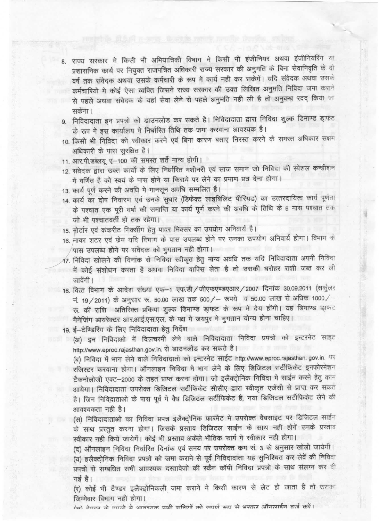- 8. राज्य सरकार मे किसी भी अभियात्रिकी विभाग मे किसी भी इंजीनियर अथवा इंजीनियरिंग या प्रशासनिक कार्य पर नियुक्त राजपत्रित अधिकारी राज्य सरकार की अनुमति के बिना सेवानिवृति के दो वर्ष तक संवेदक अथवा उसके कर्मचारी के रूप मे कार्य नही कर सकेंगें। यदि संवेदक अथवा उसके कर्मचारियों में कोई ऐसा व्यक्ति जिसने राज्य सरकार की उक्त लिखित अनुमति निविदा जमा कराने से पहले अथवा संवेदक के यहां सेवा लेने से पहले अनुमति नही ली है तो अनुबन्ध रदद किया जा सकेंगा।
- 9. निविदादाता इन प्रपत्रो को डाउनलोड कर सकते है। निविदादाता द्वारा निविदा शुल्क डिमाण्ड डा़फट के रूप मे इस कार्यालय मे निर्धारित तिथि तक जमा करवाना आवश्यक है।
- 10. किसी भी निविदा को स्वीकार करने एवं बिना कारण बताए निरस्त करने के समस्त अधिकार सक्षम अधिकारी के पास सुरक्षित है।
- 11. आर.पी.डब्लयू ए-100 की समस्त शर्ते मान्य होगी।
- 12. संवेदक द्वारा उक्त कार्यो के लिए निर्धारित मशीनरी एवं साज समान जो निविदा की स्पेशल कन्डीशन मे वर्णित है को स्वयं के पास होने या किराये पर लेने का प्रमाण प्रत्र देना होगा।
- 13. कार्य पूर्ण करने की अवधि मे मानसून अवधि सम्मलित है।
- 14. कार्य का दोष निवारण एवं उनके सुधार (डिफेक्ट लाइबिलिट पीरियड) का उत्तरदायित्व कार्य पूर्णता के पश्चात एक पूरी वर्षा की समाप्ति या कार्य पूर्ण करने की अवधि के तिथि के 6 मास पश्चात तक जो भी पश्चातवर्ती हो तक रहेगा।
- 15. मोर्टार एवं कंकरीट मिक्सींग हेतु पावर मिक्सर का उपयोग अनिवार्य है।
- 16. नाका शटर एवं फेम यदि विभाग के पास उपलब्ध होने पर उनका उपयोग अनिवार्य होगा। विभाग के पास उपलब्ध होने पर संवेदक को भूगतान नही होगा।
- 17. निविदा खोलने की दिनांक से निविदा स्वीकृत हेतु मान्य अवधि तक यदि निविदादाता अपनी निविदा में कोई संशोधन करता है अथवा निविदा वापिस लेता है तो उसकी धरोहर राशी जब्त कर ली जावेंगी ।
- 18. वित्त विभाग के आदेश संख्या एफ-1 एफ.डी / जीएफएण्डएआर / 2007 दिनांक 30.09.2011 (सर्कुलर नं. 19/2011) के अनुसार रू. 50.00 लाख तक 500/ – रूपये व 50.00 लाख से अधिक 1000/ रू. की राशि अतिरिक्त प्रकिया शुल्क डिमाण्ड डा़फट के रूप मे देय होंगी। यह डिमाण्ड डा़फट मैनेजिंग डायरेक्टर आर.आई.एस.एल. के पक्ष मे जयपुर मे भुगतान योग्य होना चाहिए।
- 19. ई-टेण्डिरिंग के लिए निविदादाता हेतु निर्देश

(अ) इन निविदाओं में दिलचस्पी लेने वाले निविदादाता निविदा प्रपत्रों को इन्टरनेट साइट http://www.eproc.rajasthan.gov.in. से डाउनलोड कर सकते है।

(ब) निविदा में भाग लेने वाले निविदादातो को इन्टरनेट साईट http://www.eproc.rajasthan.gov.in. पर रजिस्टर करवाना होगा। ऑनलाइन निविदा मे भाग लेने के लिए डिजिटल सर्टीफिकेट इनफोरमेशन टैकनोलोजी एक्ट-2000 के तहत प्राप्त करना होगा। जो इलैक्ट्रोनिक निविदा मे साईन करने हेतु काम आयेगा। निविदादाता उपरोक्त डिजिटल सर्टीफिकेट सीसीए द्वारा स्वीकृत एजेंसी से प्राप्त कर सकते है। जिन निविद्राताओं के पास पूर्व मे वैध डिजिटल सर्टीफिकेट है, नया डिजिटल सर्टीफिकेट लेने की आवश्यकता नही है।

(स) निविदादाताओं का निविदा प्रपत्र इलैक्ट्रोनिक फारमेट मे उपरोक्त वैबसाइट पर डिजिटल साईन के साथ प्रस्तुत करना होगा। जिसके प्रस्ताव डिजिटल साईन के साथ नही होगें उनके प्रस्ताव स्वीकार नहीं किये जायेगें। कोई भी प्रस्ताव अकेले भौतिक फार्म में स्वीकार नहीं होगा।

(द) ऑनलाइन निविदा निर्धारित दिनांक एवं समय पर उपरोक्त कम सं. 3 के अनुसार खोली जायेगी। (य) इलैक्ट्रोनिक निविदा प्रपत्रो को जमा कराने से पूर्व निविदादाता यह सुनिश्चित कर लेवें की निविदा प्रपत्रो से सम्बधित सभी आवश्यक दस्तावेजो की स्कैन कॉपी निविदा प्रपत्रो के साथ संलग्न कर दी गई है।

(र) कोई भी टैण्डर इलैक्ट्रोनिकली जमा कराने मे किसी कारण से लेट हो जाता है तो उसका जिम्मेवार विभाग नही होगा।

(ज) नेपन्य को पगको से भाग्यमक सभी सकियों को समर्ण कम से भरकर ऑनलाईन दर्ज करें।